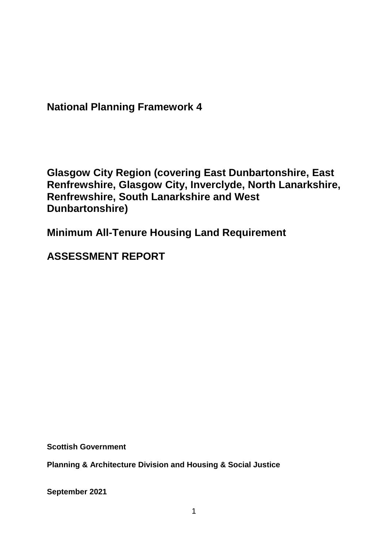**National Planning Framework 4**

**Glasgow City Region (covering East Dunbartonshire, East Renfrewshire, Glasgow City, Inverclyde, North Lanarkshire, Renfrewshire, South Lanarkshire and West Dunbartonshire)**

**Minimum All-Tenure Housing Land Requirement** 

**ASSESSMENT REPORT**

**Scottish Government**

**Planning & Architecture Division and Housing & Social Justice** 

**September 2021**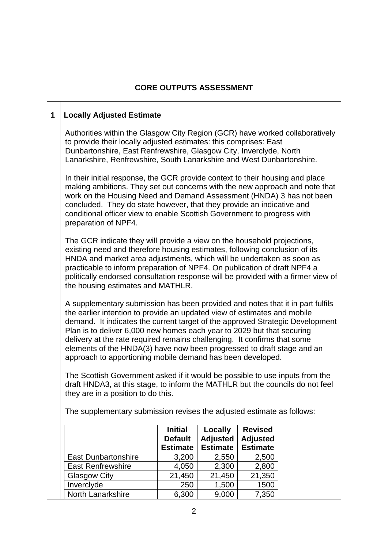#### **CORE OUTPUTS ASSESSMENT**

#### **1 Locally Adjusted Estimate**

Authorities within the Glasgow City Region (GCR) have worked collaboratively to provide their locally adjusted estimates: this comprises: East Dunbartonshire, East Renfrewshire, Glasgow City, Inverclyde, North Lanarkshire, Renfrewshire, South Lanarkshire and West Dunbartonshire.

In their initial response, the GCR provide context to their housing and place making ambitions. They set out concerns with the new approach and note that work on the Housing Need and Demand Assessment (HNDA) 3 has not been concluded. They do state however, that they provide an indicative and conditional officer view to enable Scottish Government to progress with preparation of NPF4.

The GCR indicate they will provide a view on the household projections, existing need and therefore housing estimates, following conclusion of its HNDA and market area adjustments, which will be undertaken as soon as practicable to inform preparation of NPF4. On publication of draft NPF4 a politically endorsed consultation response will be provided with a firmer view of the housing estimates and MATHLR.

A supplementary submission has been provided and notes that it in part fulfils the earlier intention to provide an updated view of estimates and mobile demand. It indicates the current target of the approved Strategic Development Plan is to deliver 6,000 new homes each year to 2029 but that securing delivery at the rate required remains challenging. It confirms that some elements of the HNDA(3) have now been progressed to draft stage and an approach to apportioning mobile demand has been developed.

The Scottish Government asked if it would be possible to use inputs from the draft HNDA3, at this stage, to inform the MATHLR but the councils do not feel they are in a position to do this.

The supplementary submission revises the adjusted estimate as follows:

|                            | <b>Initial</b><br><b>Default</b> | Locally<br><b>Adjusted</b> | <b>Revised</b><br><b>Adjusted</b> |
|----------------------------|----------------------------------|----------------------------|-----------------------------------|
|                            | <b>Estimate</b>                  | <b>Estimate</b>            | <b>Estimate</b>                   |
| <b>East Dunbartonshire</b> | 3,200                            | 2,550                      | 2,500                             |
| <b>East Renfrewshire</b>   | 4,050                            | 2,300                      | 2,800                             |
| <b>Glasgow City</b>        | 21,450                           | 21,450                     | 21,350                            |
| Inverclyde                 | 250                              | 1,500                      | 1500                              |
| <b>North Lanarkshire</b>   | 6,300                            | 9,000                      | 7,350                             |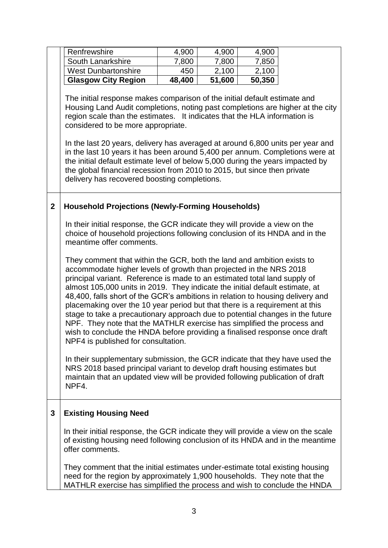|                | Renfrewshire                                                                                                                                               | 4,900  | 4,900  | 4,900  |  |  |
|----------------|------------------------------------------------------------------------------------------------------------------------------------------------------------|--------|--------|--------|--|--|
|                | South Lanarkshire                                                                                                                                          | 7,800  | 7,800  | 7,850  |  |  |
|                | <b>West Dunbartonshire</b>                                                                                                                                 | 450    | 2,100  | 2,100  |  |  |
|                | <b>Glasgow City Region</b>                                                                                                                                 | 48,400 | 51,600 | 50,350 |  |  |
|                |                                                                                                                                                            |        |        |        |  |  |
|                | The initial response makes comparison of the initial default estimate and                                                                                  |        |        |        |  |  |
|                | Housing Land Audit completions, noting past completions are higher at the city                                                                             |        |        |        |  |  |
|                | region scale than the estimates. It indicates that the HLA information is                                                                                  |        |        |        |  |  |
|                | considered to be more appropriate.                                                                                                                         |        |        |        |  |  |
|                |                                                                                                                                                            |        |        |        |  |  |
|                | In the last 20 years, delivery has averaged at around 6,800 units per year and                                                                             |        |        |        |  |  |
|                | in the last 10 years it has been around 5,400 per annum. Completions were at                                                                               |        |        |        |  |  |
|                | the initial default estimate level of below 5,000 during the years impacted by                                                                             |        |        |        |  |  |
|                | the global financial recession from 2010 to 2015, but since then private                                                                                   |        |        |        |  |  |
|                | delivery has recovered boosting completions.                                                                                                               |        |        |        |  |  |
|                |                                                                                                                                                            |        |        |        |  |  |
|                |                                                                                                                                                            |        |        |        |  |  |
| $\overline{2}$ | <b>Household Projections (Newly-Forming Households)</b>                                                                                                    |        |        |        |  |  |
|                |                                                                                                                                                            |        |        |        |  |  |
|                | In their initial response, the GCR indicate they will provide a view on the<br>choice of household projections following conclusion of its HNDA and in the |        |        |        |  |  |
|                | meantime offer comments.                                                                                                                                   |        |        |        |  |  |
|                |                                                                                                                                                            |        |        |        |  |  |
|                | They comment that within the GCR, both the land and ambition exists to                                                                                     |        |        |        |  |  |
|                | accommodate higher levels of growth than projected in the NRS 2018                                                                                         |        |        |        |  |  |
|                | principal variant. Reference is made to an estimated total land supply of                                                                                  |        |        |        |  |  |
|                | almost 105,000 units in 2019. They indicate the initial default estimate, at                                                                               |        |        |        |  |  |
|                | 48,400, falls short of the GCR's ambitions in relation to housing delivery and                                                                             |        |        |        |  |  |
|                | placemaking over the 10 year period but that there is a requirement at this                                                                                |        |        |        |  |  |
|                | stage to take a precautionary approach due to potential changes in the future                                                                              |        |        |        |  |  |
|                | NPF. They note that the MATHLR exercise has simplified the process and                                                                                     |        |        |        |  |  |
|                | wish to conclude the HNDA before providing a finalised response once draft                                                                                 |        |        |        |  |  |
|                | NPF4 is published for consultation.                                                                                                                        |        |        |        |  |  |
|                |                                                                                                                                                            |        |        |        |  |  |
|                | In their supplementary submission, the GCR indicate that they have used the                                                                                |        |        |        |  |  |
|                | NRS 2018 based principal variant to develop draft housing estimates but                                                                                    |        |        |        |  |  |
|                | maintain that an updated view will be provided following publication of draft                                                                              |        |        |        |  |  |
|                | NPF4.                                                                                                                                                      |        |        |        |  |  |
|                |                                                                                                                                                            |        |        |        |  |  |
| $\mathbf{3}$   | <b>Existing Housing Need</b>                                                                                                                               |        |        |        |  |  |
|                |                                                                                                                                                            |        |        |        |  |  |
|                | In their initial response, the GCR indicate they will provide a view on the scale                                                                          |        |        |        |  |  |
|                | of existing housing need following conclusion of its HNDA and in the meantime                                                                              |        |        |        |  |  |
|                | offer comments.                                                                                                                                            |        |        |        |  |  |
|                |                                                                                                                                                            |        |        |        |  |  |
|                | They comment that the initial estimates under-estimate total existing housing                                                                              |        |        |        |  |  |
|                | need for the region by approximately 1,900 households. They note that the                                                                                  |        |        |        |  |  |
|                | MATHLR exercise has simplified the process and wish to conclude the HNDA                                                                                   |        |        |        |  |  |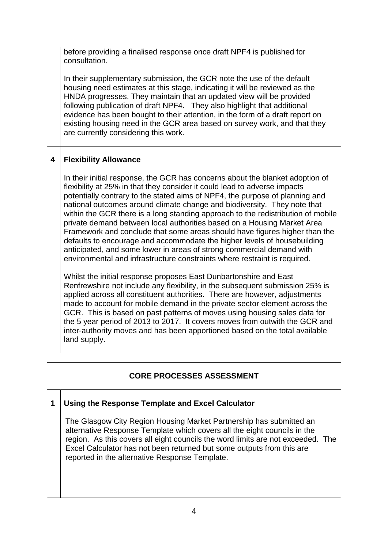before providing a finalised response once draft NPF4 is published for consultation.

In their supplementary submission, the GCR note the use of the default housing need estimates at this stage, indicating it will be reviewed as the HNDA progresses. They maintain that an updated view will be provided following publication of draft NPF4. They also highlight that additional evidence has been bought to their attention, in the form of a draft report on existing housing need in the GCR area based on survey work, and that they are currently considering this work.

## **4 Flexibility Allowance**

In their initial response, the GCR has concerns about the blanket adoption of flexibility at 25% in that they consider it could lead to adverse impacts potentially contrary to the stated aims of NPF4, the purpose of planning and national outcomes around climate change and biodiversity. They note that within the GCR there is a long standing approach to the redistribution of mobile private demand between local authorities based on a Housing Market Area Framework and conclude that some areas should have figures higher than the defaults to encourage and accommodate the higher levels of housebuilding anticipated, and some lower in areas of strong commercial demand with environmental and infrastructure constraints where restraint is required.

Whilst the initial response proposes East Dunbartonshire and East Renfrewshire not include any flexibility, in the subsequent submission 25% is applied across all constituent authorities. There are however, adjustments made to account for mobile demand in the private sector element across the GCR. This is based on past patterns of moves using housing sales data for the 5 year period of 2013 to 2017. It covers moves from outwith the GCR and inter-authority moves and has been apportioned based on the total available land supply.

## **CORE PROCESSES ASSESSMENT**

#### **1 Using the Response Template and Excel Calculator**

The Glasgow City Region Housing Market Partnership has submitted an alternative Response Template which covers all the eight councils in the region. As this covers all eight councils the word limits are not exceeded. The Excel Calculator has not been returned but some outputs from this are reported in the alternative Response Template.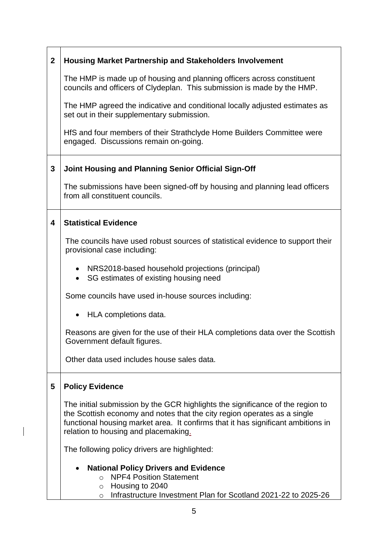| $\boldsymbol{2}$ | <b>Housing Market Partnership and Stakeholders Involvement</b>                                                                                                                                                                                                                         |  |  |  |
|------------------|----------------------------------------------------------------------------------------------------------------------------------------------------------------------------------------------------------------------------------------------------------------------------------------|--|--|--|
|                  | The HMP is made up of housing and planning officers across constituent<br>councils and officers of Clydeplan. This submission is made by the HMP.                                                                                                                                      |  |  |  |
|                  | The HMP agreed the indicative and conditional locally adjusted estimates as<br>set out in their supplementary submission.                                                                                                                                                              |  |  |  |
|                  | HfS and four members of their Strathclyde Home Builders Committee were<br>engaged. Discussions remain on-going.                                                                                                                                                                        |  |  |  |
| $\mathbf{3}$     | Joint Housing and Planning Senior Official Sign-Off                                                                                                                                                                                                                                    |  |  |  |
|                  | The submissions have been signed-off by housing and planning lead officers<br>from all constituent councils.                                                                                                                                                                           |  |  |  |
| 4                | <b>Statistical Evidence</b>                                                                                                                                                                                                                                                            |  |  |  |
|                  | The councils have used robust sources of statistical evidence to support their<br>provisional case including:                                                                                                                                                                          |  |  |  |
|                  | • NRS2018-based household projections (principal)<br>SG estimates of existing housing need<br>$\bullet$                                                                                                                                                                                |  |  |  |
|                  | Some councils have used in-house sources including:                                                                                                                                                                                                                                    |  |  |  |
|                  | HLA completions data.                                                                                                                                                                                                                                                                  |  |  |  |
|                  | Reasons are given for the use of their HLA completions data over the Scottish<br>Government default figures.                                                                                                                                                                           |  |  |  |
|                  | Other data used includes house sales data.                                                                                                                                                                                                                                             |  |  |  |
| 5                | <b>Policy Evidence</b>                                                                                                                                                                                                                                                                 |  |  |  |
|                  | The initial submission by the GCR highlights the significance of the region to<br>the Scottish economy and notes that the city region operates as a single<br>functional housing market area. It confirms that it has significant ambitions in<br>relation to housing and placemaking. |  |  |  |
|                  | The following policy drivers are highlighted:                                                                                                                                                                                                                                          |  |  |  |
|                  | <b>National Policy Drivers and Evidence</b><br><b>NPF4 Position Statement</b><br>$\Omega$                                                                                                                                                                                              |  |  |  |
|                  | Housing to 2040<br>$\circ$<br>Infrastructure Investment Plan for Scotland 2021-22 to 2025-26<br>$\circ$                                                                                                                                                                                |  |  |  |

 $\overline{\phantom{a}}$